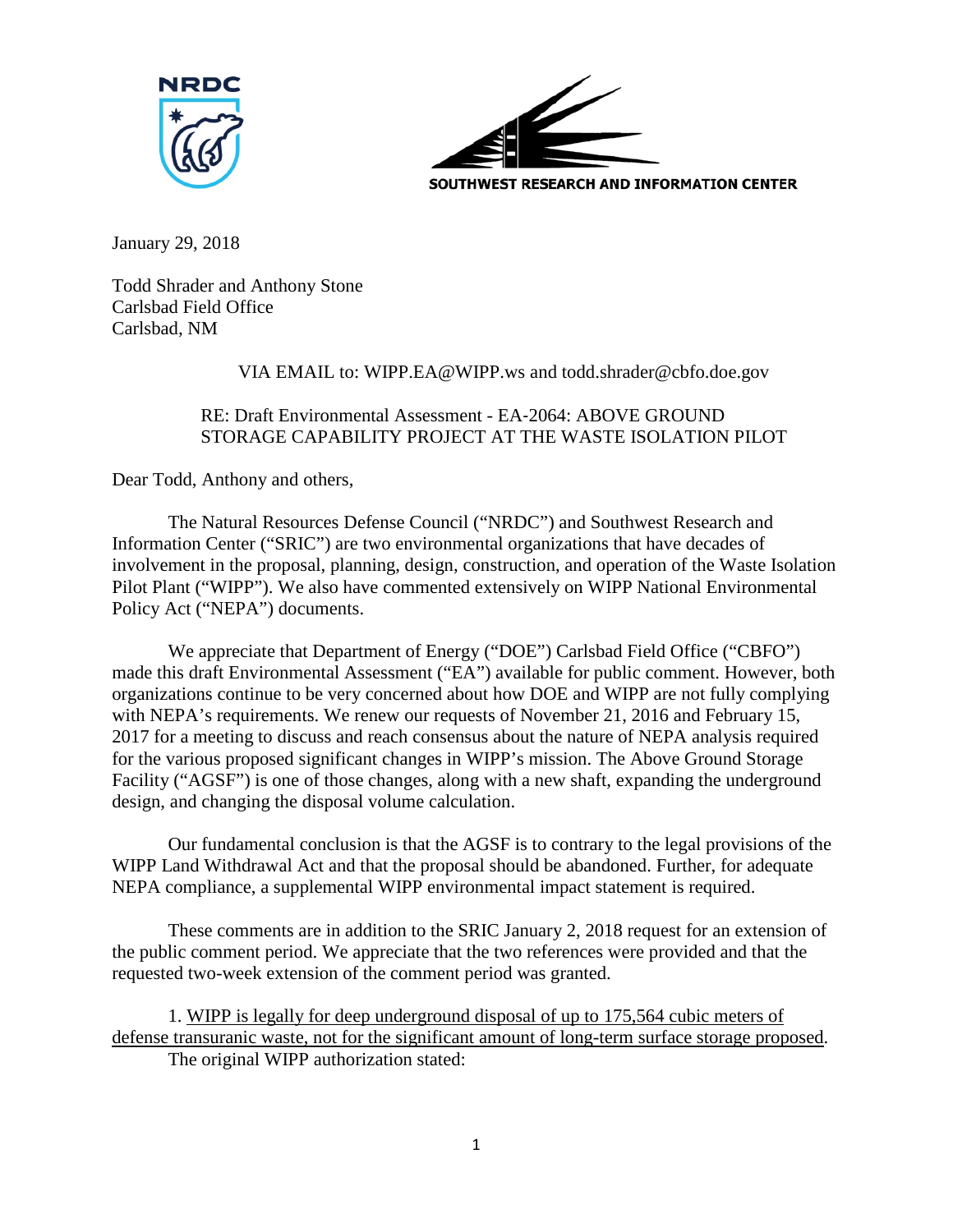



January 29, 2018

Todd Shrader and Anthony Stone Carlsbad Field Office Carlsbad, NM

## VIA EMAIL to: WIPP.EA@WIPP.ws and todd.shrader@cbfo.doe.gov

## RE: Draft Environmental Assessment - EA‐2064: ABOVE GROUND STORAGE CAPABILITY PROJECT AT THE WASTE ISOLATION PILOT

Dear Todd, Anthony and others,

The Natural Resources Defense Council ("NRDC") and Southwest Research and Information Center ("SRIC") are two environmental organizations that have decades of involvement in the proposal, planning, design, construction, and operation of the Waste Isolation Pilot Plant ("WIPP"). We also have commented extensively on WIPP National Environmental Policy Act ("NEPA") documents.

We appreciate that Department of Energy ("DOE") Carlsbad Field Office ("CBFO") made this draft Environmental Assessment ("EA") available for public comment. However, both organizations continue to be very concerned about how DOE and WIPP are not fully complying with NEPA's requirements. We renew our requests of November 21, 2016 and February 15, 2017 for a meeting to discuss and reach consensus about the nature of NEPA analysis required for the various proposed significant changes in WIPP's mission. The Above Ground Storage Facility ("AGSF") is one of those changes, along with a new shaft, expanding the underground design, and changing the disposal volume calculation.

Our fundamental conclusion is that the AGSF is to contrary to the legal provisions of the WIPP Land Withdrawal Act and that the proposal should be abandoned. Further, for adequate NEPA compliance, a supplemental WIPP environmental impact statement is required.

These comments are in addition to the SRIC January 2, 2018 request for an extension of the public comment period. We appreciate that the two references were provided and that the requested two-week extension of the comment period was granted.

1. WIPP is legally for deep underground disposal of up to 175,564 cubic meters of defense transuranic waste, not for the significant amount of long-term surface storage proposed. The original WIPP authorization stated: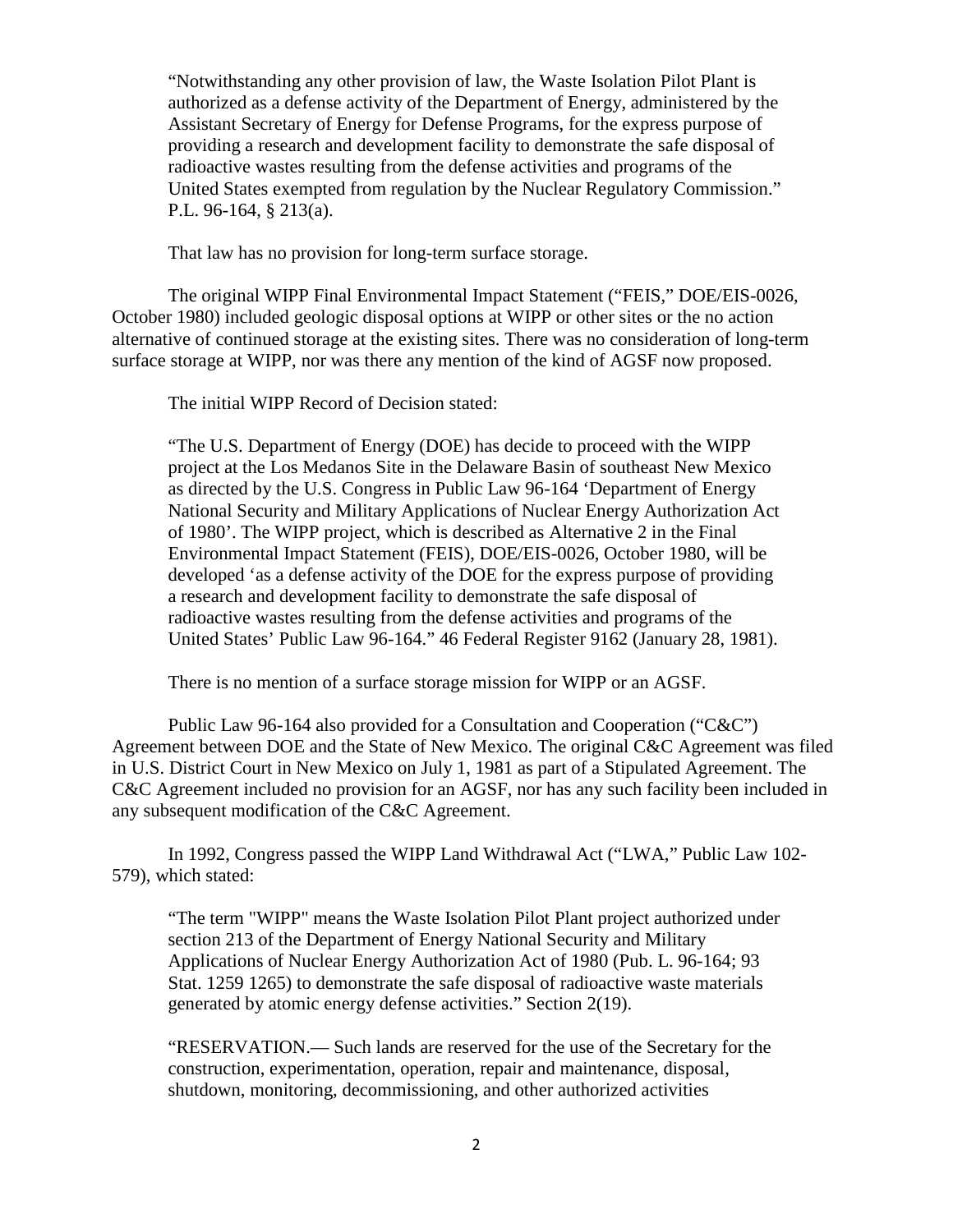"Notwithstanding any other provision of law, the Waste Isolation Pilot Plant is authorized as a defense activity of the Department of Energy, administered by the Assistant Secretary of Energy for Defense Programs, for the express purpose of providing a research and development facility to demonstrate the safe disposal of radioactive wastes resulting from the defense activities and programs of the United States exempted from regulation by the Nuclear Regulatory Commission." P.L. 96-164, § 213(a).

That law has no provision for long-term surface storage.

The original WIPP Final Environmental Impact Statement ("FEIS," DOE/EIS-0026, October 1980) included geologic disposal options at WIPP or other sites or the no action alternative of continued storage at the existing sites. There was no consideration of long-term surface storage at WIPP, nor was there any mention of the kind of AGSF now proposed.

The initial WIPP Record of Decision stated:

"The U.S. Department of Energy (DOE) has decide to proceed with the WIPP project at the Los Medanos Site in the Delaware Basin of southeast New Mexico as directed by the U.S. Congress in Public Law 96-164 'Department of Energy National Security and Military Applications of Nuclear Energy Authorization Act of 1980'. The WIPP project, which is described as Alternative 2 in the Final Environmental Impact Statement (FEIS), DOE/EIS-0026, October 1980, will be developed 'as a defense activity of the DOE for the express purpose of providing a research and development facility to demonstrate the safe disposal of radioactive wastes resulting from the defense activities and programs of the United States' Public Law 96-164." 46 Federal Register 9162 (January 28, 1981).

There is no mention of a surface storage mission for WIPP or an AGSF.

Public Law 96-164 also provided for a Consultation and Cooperation ("C&C") Agreement between DOE and the State of New Mexico. The original C&C Agreement was filed in U.S. District Court in New Mexico on July 1, 1981 as part of a Stipulated Agreement. The C&C Agreement included no provision for an AGSF, nor has any such facility been included in any subsequent modification of the C&C Agreement.

In 1992, Congress passed the WIPP Land Withdrawal Act ("LWA," Public Law 102- 579), which stated:

"The term "WIPP" means the Waste Isolation Pilot Plant project authorized under section 213 of the Department of Energy National Security and Military Applications of Nuclear Energy Authorization Act of 1980 (Pub. L. 96-164; 93 Stat. 1259 1265) to demonstrate the safe disposal of radioactive waste materials generated by atomic energy defense activities." Section 2(19).

"RESERVATION.— Such lands are reserved for the use of the Secretary for the construction, experimentation, operation, repair and maintenance, disposal, shutdown, monitoring, decommissioning, and other authorized activities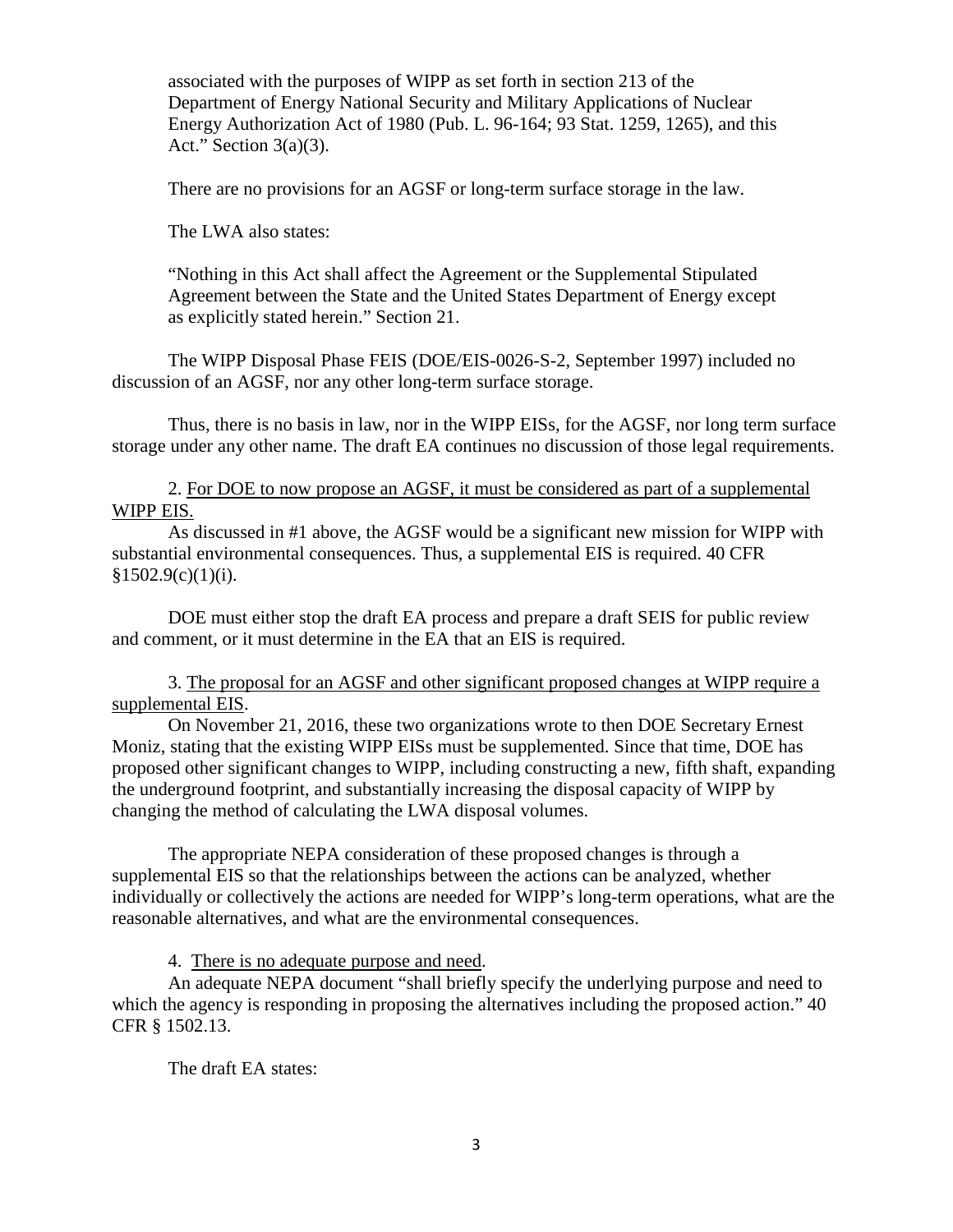associated with the purposes of WIPP as set forth in section 213 of the Department of Energy National Security and Military Applications of Nuclear Energy Authorization Act of 1980 (Pub. L. 96-164; 93 Stat. 1259, 1265), and this Act." Section  $3(a)(3)$ .

There are no provisions for an AGSF or long-term surface storage in the law.

The LWA also states:

"Nothing in this Act shall affect the Agreement or the Supplemental Stipulated Agreement between the State and the United States Department of Energy except as explicitly stated herein." Section 21.

The WIPP Disposal Phase FEIS (DOE/EIS-0026-S-2, September 1997) included no discussion of an AGSF, nor any other long-term surface storage.

Thus, there is no basis in law, nor in the WIPP EISs, for the AGSF, nor long term surface storage under any other name. The draft EA continues no discussion of those legal requirements.

2. For DOE to now propose an AGSF, it must be considered as part of a supplemental WIPP EIS.

As discussed in #1 above, the AGSF would be a significant new mission for WIPP with substantial environmental consequences. Thus, a supplemental EIS is required. 40 CFR  $§1502.9(c)(1)(i).$ 

DOE must either stop the draft EA process and prepare a draft SEIS for public review and comment, or it must determine in the EA that an EIS is required.

3. The proposal for an AGSF and other significant proposed changes at WIPP require a supplemental EIS.

On November 21, 2016, these two organizations wrote to then DOE Secretary Ernest Moniz, stating that the existing WIPP EISs must be supplemented. Since that time, DOE has proposed other significant changes to WIPP, including constructing a new, fifth shaft, expanding the underground footprint, and substantially increasing the disposal capacity of WIPP by changing the method of calculating the LWA disposal volumes.

The appropriate NEPA consideration of these proposed changes is through a supplemental EIS so that the relationships between the actions can be analyzed, whether individually or collectively the actions are needed for WIPP's long-term operations, what are the reasonable alternatives, and what are the environmental consequences.

4. There is no adequate purpose and need.

An adequate NEPA document "shall briefly specify the underlying purpose and need to which the agency is responding in proposing the alternatives including the proposed action." 40 CFR § 1502.13.

The draft EA states: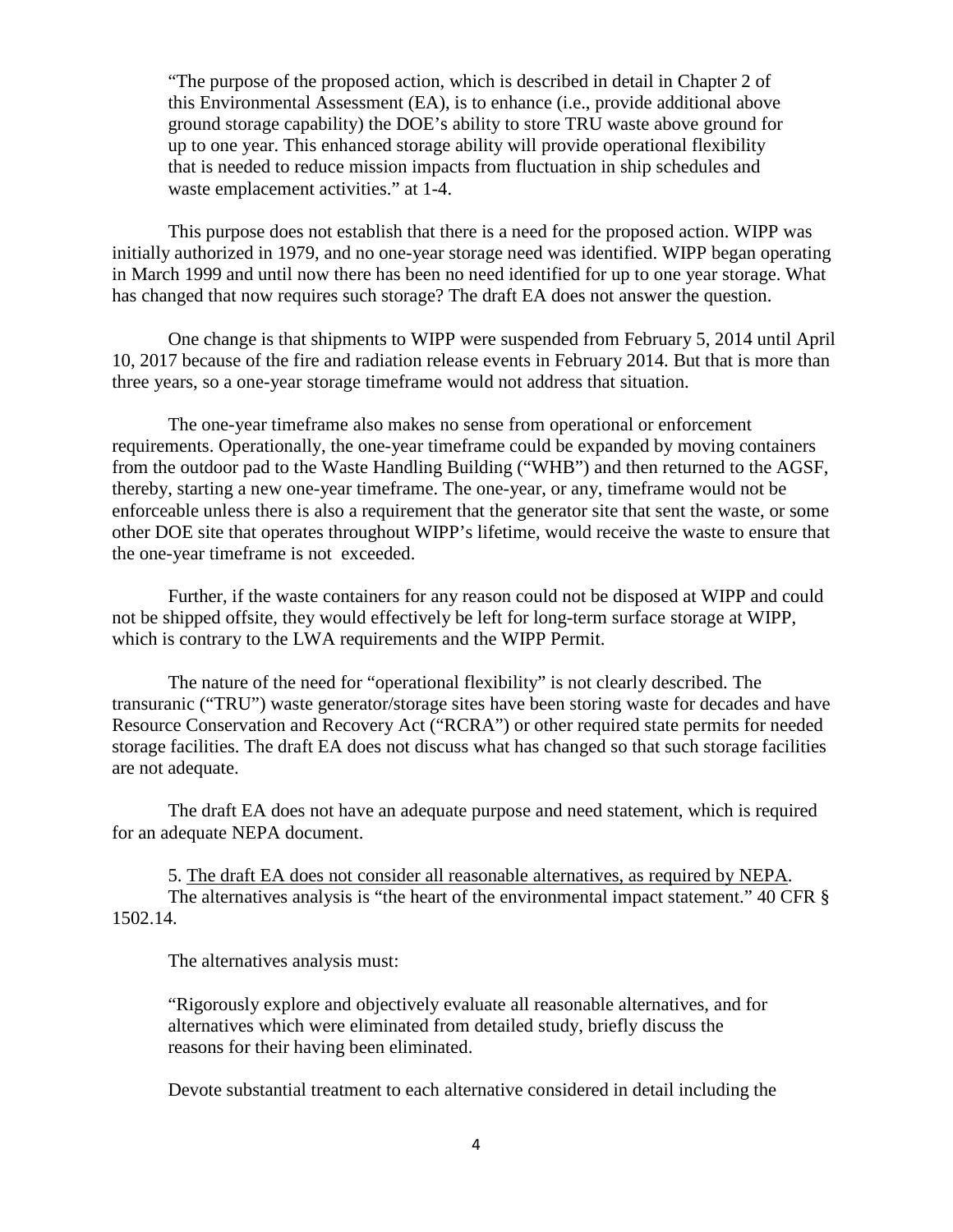"The purpose of the proposed action, which is described in detail in Chapter 2 of this Environmental Assessment (EA), is to enhance (i.e., provide additional above ground storage capability) the DOE's ability to store TRU waste above ground for up to one year. This enhanced storage ability will provide operational flexibility that is needed to reduce mission impacts from fluctuation in ship schedules and waste emplacement activities." at 1-4.

This purpose does not establish that there is a need for the proposed action. WIPP was initially authorized in 1979, and no one-year storage need was identified. WIPP began operating in March 1999 and until now there has been no need identified for up to one year storage. What has changed that now requires such storage? The draft EA does not answer the question.

One change is that shipments to WIPP were suspended from February 5, 2014 until April 10, 2017 because of the fire and radiation release events in February 2014. But that is more than three years, so a one-year storage timeframe would not address that situation.

The one-year timeframe also makes no sense from operational or enforcement requirements. Operationally, the one-year timeframe could be expanded by moving containers from the outdoor pad to the Waste Handling Building ("WHB") and then returned to the AGSF, thereby, starting a new one-year timeframe. The one-year, or any, timeframe would not be enforceable unless there is also a requirement that the generator site that sent the waste, or some other DOE site that operates throughout WIPP's lifetime, would receive the waste to ensure that the one-year timeframe is not exceeded.

Further, if the waste containers for any reason could not be disposed at WIPP and could not be shipped offsite, they would effectively be left for long-term surface storage at WIPP, which is contrary to the LWA requirements and the WIPP Permit.

The nature of the need for "operational flexibility" is not clearly described. The transuranic ("TRU") waste generator/storage sites have been storing waste for decades and have Resource Conservation and Recovery Act ("RCRA") or other required state permits for needed storage facilities. The draft EA does not discuss what has changed so that such storage facilities are not adequate.

The draft EA does not have an adequate purpose and need statement, which is required for an adequate NEPA document.

5. The draft EA does not consider all reasonable alternatives, as required by NEPA. The alternatives analysis is "the heart of the environmental impact statement." 40 CFR § 1502.14.

The alternatives analysis must:

"Rigorously explore and objectively evaluate all reasonable alternatives, and for alternatives which were eliminated from detailed study, briefly discuss the reasons for their having been eliminated.

Devote substantial treatment to each alternative considered in detail including the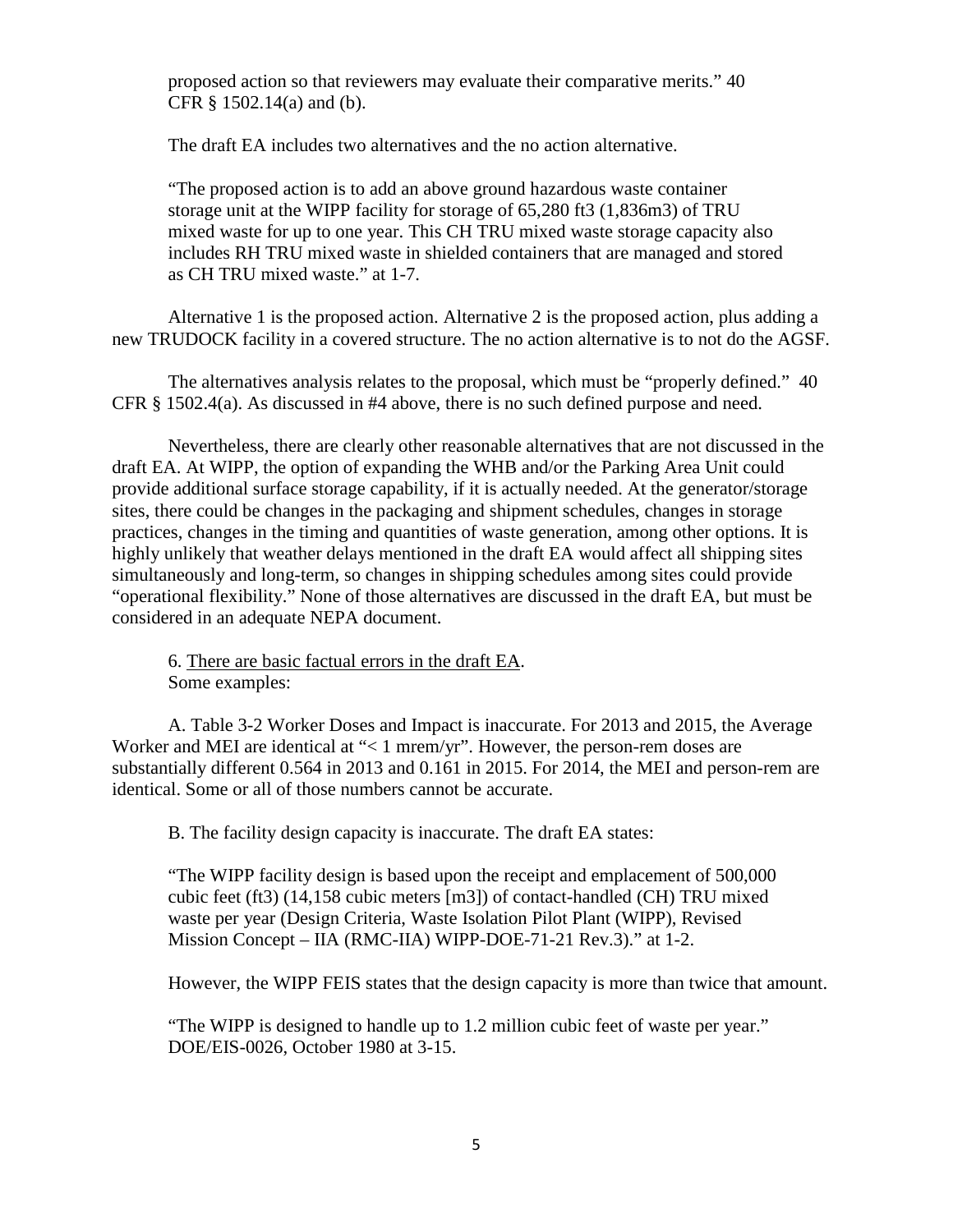proposed action so that reviewers may evaluate their comparative merits." 40 CFR § 1502.14(a) and (b).

The draft EA includes two alternatives and the no action alternative.

"The proposed action is to add an above ground hazardous waste container storage unit at the WIPP facility for storage of 65,280 ft3 (1,836m3) of TRU mixed waste for up to one year. This CH TRU mixed waste storage capacity also includes RH TRU mixed waste in shielded containers that are managed and stored as CH TRU mixed waste." at 1-7.

Alternative 1 is the proposed action. Alternative 2 is the proposed action, plus adding a new TRUDOCK facility in a covered structure. The no action alternative is to not do the AGSF.

The alternatives analysis relates to the proposal, which must be "properly defined." 40 CFR § 1502.4(a). As discussed in #4 above, there is no such defined purpose and need.

Nevertheless, there are clearly other reasonable alternatives that are not discussed in the draft EA. At WIPP, the option of expanding the WHB and/or the Parking Area Unit could provide additional surface storage capability, if it is actually needed. At the generator/storage sites, there could be changes in the packaging and shipment schedules, changes in storage practices, changes in the timing and quantities of waste generation, among other options. It is highly unlikely that weather delays mentioned in the draft EA would affect all shipping sites simultaneously and long-term, so changes in shipping schedules among sites could provide "operational flexibility." None of those alternatives are discussed in the draft EA, but must be considered in an adequate NEPA document.

6. There are basic factual errors in the draft EA. Some examples:

A. Table 3-2 Worker Doses and Impact is inaccurate. For 2013 and 2015, the Average Worker and MEI are identical at "< 1 mrem/yr". However, the person-rem doses are substantially different 0.564 in 2013 and 0.161 in 2015. For 2014, the MEI and person-rem are identical. Some or all of those numbers cannot be accurate.

B. The facility design capacity is inaccurate. The draft EA states:

"The WIPP facility design is based upon the receipt and emplacement of 500,000 cubic feet (ft3) (14,158 cubic meters [m3]) of contact-handled (CH) TRU mixed waste per year (Design Criteria, Waste Isolation Pilot Plant (WIPP), Revised Mission Concept – IIA (RMC-IIA) WIPP-DOE-71-21 Rev.3)." at 1-2.

However, the WIPP FEIS states that the design capacity is more than twice that amount.

"The WIPP is designed to handle up to 1.2 million cubic feet of waste per year." DOE/EIS-0026, October 1980 at 3-15.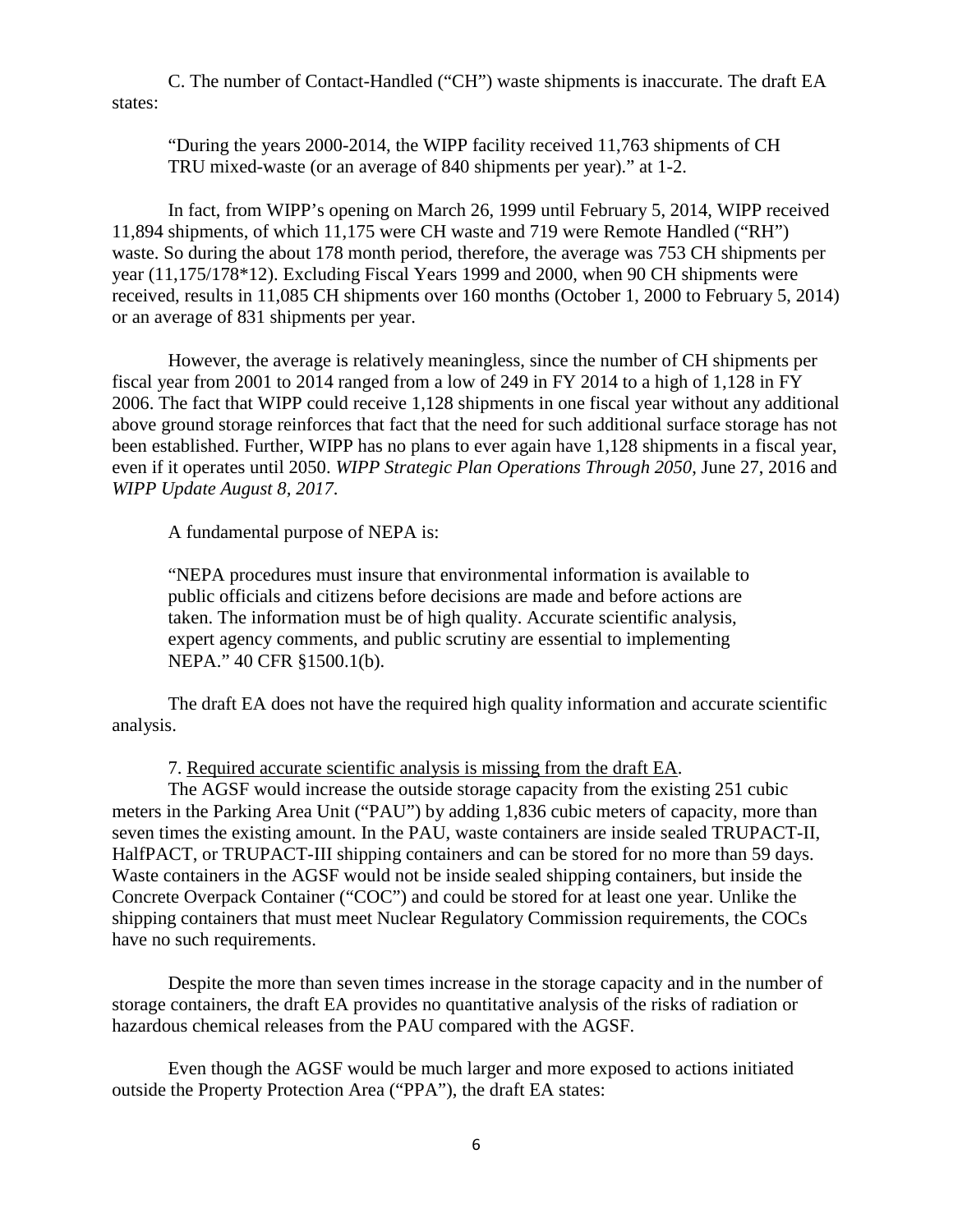C. The number of Contact-Handled ("CH") waste shipments is inaccurate. The draft EA states:

"During the years 2000-2014, the WIPP facility received 11,763 shipments of CH TRU mixed-waste (or an average of 840 shipments per year)." at 1-2.

In fact, from WIPP's opening on March 26, 1999 until February 5, 2014, WIPP received 11,894 shipments, of which 11,175 were CH waste and 719 were Remote Handled ("RH") waste. So during the about 178 month period, therefore, the average was 753 CH shipments per year (11,175/178\*12). Excluding Fiscal Years 1999 and 2000, when 90 CH shipments were received, results in 11,085 CH shipments over 160 months (October 1, 2000 to February 5, 2014) or an average of 831 shipments per year.

However, the average is relatively meaningless, since the number of CH shipments per fiscal year from 2001 to 2014 ranged from a low of 249 in FY 2014 to a high of 1,128 in FY 2006. The fact that WIPP could receive 1,128 shipments in one fiscal year without any additional above ground storage reinforces that fact that the need for such additional surface storage has not been established. Further, WIPP has no plans to ever again have 1,128 shipments in a fiscal year, even if it operates until 2050. *WIPP Strategic Plan Operations Through 2050*, June 27, 2016 and *WIPP Update August 8, 2017*.

A fundamental purpose of NEPA is:

"NEPA procedures must insure that environmental information is available to public officials and citizens before decisions are made and before actions are taken. The information must be of high quality. Accurate scientific analysis, expert agency comments, and public scrutiny are essential to implementing NEPA." 40 CFR §1500.1(b).

The draft EA does not have the required high quality information and accurate scientific analysis.

7. Required accurate scientific analysis is missing from the draft EA.

The AGSF would increase the outside storage capacity from the existing 251 cubic meters in the Parking Area Unit ("PAU") by adding 1,836 cubic meters of capacity, more than seven times the existing amount. In the PAU, waste containers are inside sealed TRUPACT-II, HalfPACT, or TRUPACT-III shipping containers and can be stored for no more than 59 days. Waste containers in the AGSF would not be inside sealed shipping containers, but inside the Concrete Overpack Container ("COC") and could be stored for at least one year. Unlike the shipping containers that must meet Nuclear Regulatory Commission requirements, the COCs have no such requirements.

Despite the more than seven times increase in the storage capacity and in the number of storage containers, the draft EA provides no quantitative analysis of the risks of radiation or hazardous chemical releases from the PAU compared with the AGSF.

Even though the AGSF would be much larger and more exposed to actions initiated outside the Property Protection Area ("PPA"), the draft EA states: